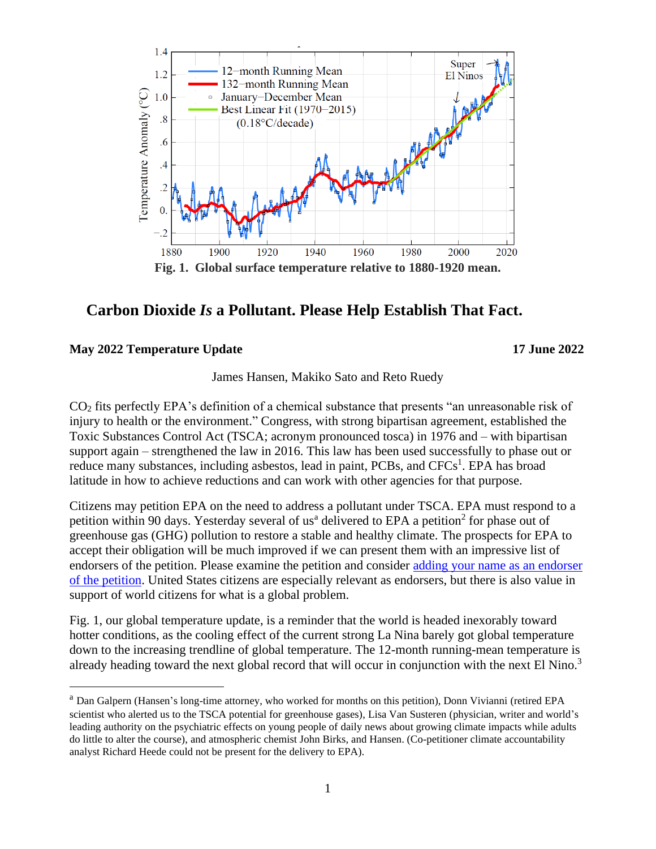

## **Carbon Dioxide** *Is* **a Pollutant. Please Help Establish That Fact.**

## **May 2022 Temperature Update 17 June 2022**

James Hansen, Makiko Sato and Reto Ruedy

CO<sup>2</sup> fits perfectly EPA's definition of a chemical substance that presents "an unreasonable risk of injury to health or the environment." Congress, with strong bipartisan agreement, established the Toxic Substances Control Act (TSCA; acronym pronounced tosca) in 1976 and – with bipartisan support again – strengthened the law in 2016. This law has been used successfully to phase out or reduce many substances, including asbestos, lead in paint, PCBs, and CFCs<sup>1</sup>. EPA has broad latitude in how to achieve reductions and can work with other agencies for that purpose.

Citizens may petition EPA on the need to address a pollutant under TSCA. EPA must respond to a petition within 90 days. Yesterday several of us<sup>a</sup> delivered to EPA a petition<sup>2</sup> for phase out of greenhouse gas (GHG) pollution to restore a stable and healthy climate. The prospects for EPA to accept their obligation will be much improved if we can present them with an impressive list of endorsers of the petition. Please examine the petition and consider [adding your name as an endorser](https://cprclimate.org/civicrm/petition/sign/?sid=3&reset=1) [of the petition.](https://cprclimate.org/civicrm/petition/sign/?sid=3&reset=1) United States citizens are especially relevant as endorsers, but there is also value in support of world citizens for what is a global problem.

Fig. 1, our global temperature update, is a reminder that the world is headed inexorably toward hotter conditions, as the cooling effect of the current strong La Nina barely got global temperature down to the increasing trendline of global temperature. The 12-month running-mean temperature is already heading toward the next global record that will occur in conjunction with the next El Nino.<sup>3</sup>

<sup>a</sup> Dan Galpern (Hansen's long-time attorney, who worked for months on this petition), Donn Vivianni (retired EPA scientist who alerted us to the TSCA potential for greenhouse gases), Lisa Van Susteren (physician, writer and world's leading authority on the psychiatric effects on young people of daily news about growing climate impacts while adults do little to alter the course), and atmospheric chemist John Birks, and Hansen. (Co-petitioner climate accountability analyst Richard Heede could not be present for the delivery to EPA).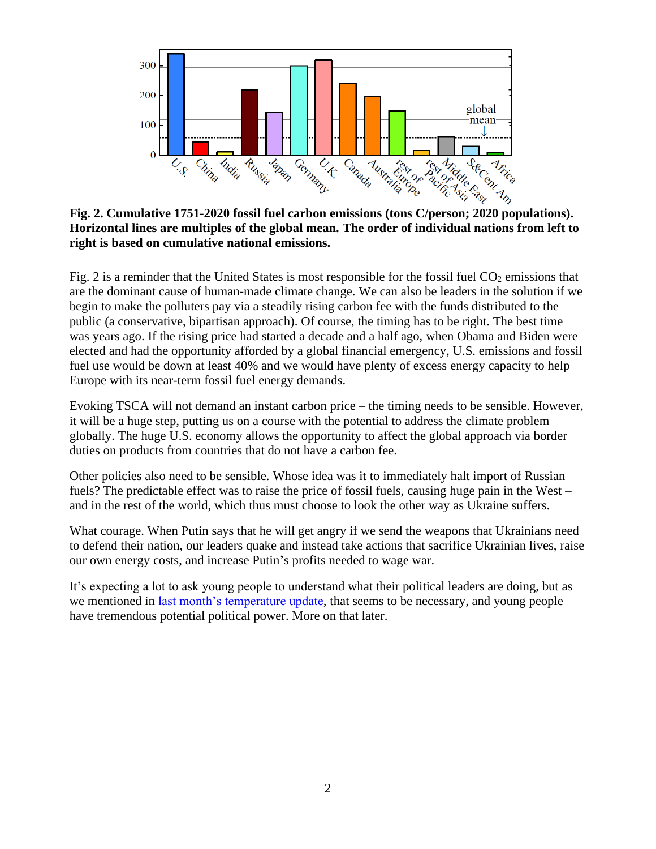

**Horizontal lines are multiples of the global mean. The order of individual nations from left to right is based on cumulative national emissions.**

Fig. 2 is a reminder that the United States is most responsible for the fossil fuel  $CO<sub>2</sub>$  emissions that are the dominant cause of human-made climate change. We can also be leaders in the solution if we begin to make the polluters pay via a steadily rising carbon fee with the funds distributed to the public (a conservative, bipartisan approach). Of course, the timing has to be right. The best time was years ago. If the rising price had started a decade and a half ago, when Obama and Biden were elected and had the opportunity afforded by a global financial emergency, U.S. emissions and fossil fuel use would be down at least 40% and we would have plenty of excess energy capacity to help Europe with its near-term fossil fuel energy demands.

Evoking TSCA will not demand an instant carbon price – the timing needs to be sensible. However, it will be a huge step, putting us on a course with the potential to address the climate problem globally. The huge U.S. economy allows the opportunity to affect the global approach via border duties on products from countries that do not have a carbon fee.

Other policies also need to be sensible. Whose idea was it to immediately halt import of Russian fuels? The predictable effect was to raise the price of fossil fuels, causing huge pain in the West – and in the rest of the world, which thus must choose to look the other way as Ukraine suffers.

What courage. When Putin says that he will get angry if we send the weapons that Ukrainians need to defend their nation, our leaders quake and instead take actions that sacrifice Ukrainian lives, raise our own energy costs, and increase Putin's profits needed to wage war.

It's expecting a lot to ask young people to understand what their political leaders are doing, but as we mentioned in [last month's temperature update,](http://www.columbia.edu/~mhs119/Temperature/Emails/April2022.pdf) that seems to be necessary, and young people have tremendous potential political power. More on that later.